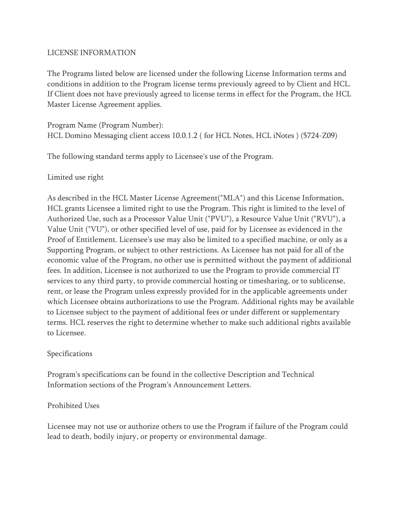#### LICENSE INFORMATION

The Programs listed below are licensed under the following License Information terms and conditions in addition to the Program license terms previously agreed to by Client and HCL. If Client does not have previously agreed to license terms in effect for the Program, the HCL Master License Agreement applies.

Program Name (Program Number): HCL Domino Messaging client access 10.0.1.2 ( for HCL Notes, HCL iNotes ) (5724-Z09)

The following standard terms apply to Licensee's use of the Program.

### Limited use right

As described in the HCL Master License Agreement("MLA") and this License Information, HCL grants Licensee a limited right to use the Program. This right is limited to the level of Authorized Use, such as a Processor Value Unit ("PVU"), a Resource Value Unit ("RVU"), a Value Unit ("VU"), or other specified level of use, paid for by Licensee as evidenced in the Proof of Entitlement. Licensee's use may also be limited to a specified machine, or only as a Supporting Program, or subject to other restrictions. As Licensee has not paid for all of the economic value of the Program, no other use is permitted without the payment of additional fees. In addition, Licensee is not authorized to use the Program to provide commercial IT services to any third party, to provide commercial hosting or timesharing, or to sublicense, rent, or lease the Program unless expressly provided for in the applicable agreements under which Licensee obtains authorizations to use the Program. Additional rights may be available to Licensee subject to the payment of additional fees or under different or supplementary terms. HCL reserves the right to determine whether to make such additional rights available to Licensee.

#### Specifications

Program's specifications can be found in the collective Description and Technical Information sections of the Program's Announcement Letters.

# Prohibited Uses

Licensee may not use or authorize others to use the Program if failure of the Program could lead to death, bodily injury, or property or environmental damage.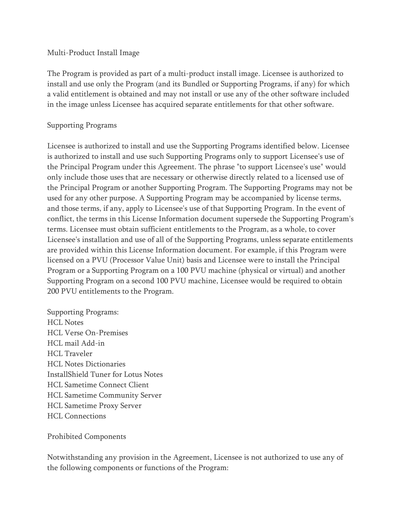#### Multi-Product Install Image

The Program is provided as part of a multi-product install image. Licensee is authorized to install and use only the Program (and its Bundled or Supporting Programs, if any) for which a valid entitlement is obtained and may not install or use any of the other software included in the image unless Licensee has acquired separate entitlements for that other software.

#### Supporting Programs

Licensee is authorized to install and use the Supporting Programs identified below. Licensee is authorized to install and use such Supporting Programs only to support Licensee's use of the Principal Program under this Agreement. The phrase "to support Licensee's use" would only include those uses that are necessary or otherwise directly related to a licensed use of the Principal Program or another Supporting Program. The Supporting Programs may not be used for any other purpose. A Supporting Program may be accompanied by license terms, and those terms, if any, apply to Licensee's use of that Supporting Program. In the event of conflict, the terms in this License Information document supersede the Supporting Program's terms. Licensee must obtain sufficient entitlements to the Program, as a whole, to cover Licensee's installation and use of all of the Supporting Programs, unless separate entitlements are provided within this License Information document. For example, if this Program were licensed on a PVU (Processor Value Unit) basis and Licensee were to install the Principal Program or a Supporting Program on a 100 PVU machine (physical or virtual) and another Supporting Program on a second 100 PVU machine, Licensee would be required to obtain 200 PVU entitlements to the Program.

Supporting Programs: HCL Notes HCL Verse On-Premises HCL mail Add-in HCL Traveler HCL Notes Dictionaries InstallShield Tuner for Lotus Notes HCL Sametime Connect Client HCL Sametime Community Server HCL Sametime Proxy Server HCL Connections

Prohibited Components

Notwithstanding any provision in the Agreement, Licensee is not authorized to use any of the following components or functions of the Program: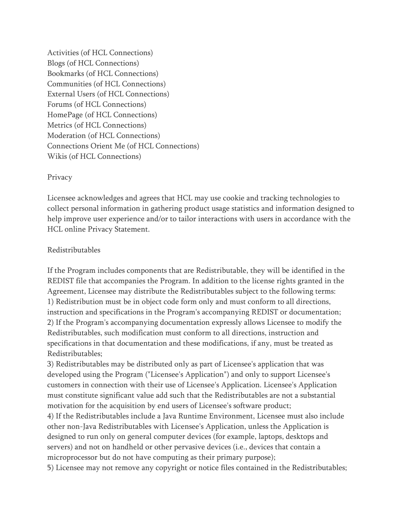Activities (of HCL Connections) Blogs (of HCL Connections) Bookmarks (of HCL Connections) Communities (of HCL Connections) External Users (of HCL Connections) Forums (of HCL Connections) HomePage (of HCL Connections) Metrics (of HCL Connections) Moderation (of HCL Connections) Connections Orient Me (of HCL Connections) Wikis (of HCL Connections)

#### Privacy

Licensee acknowledges and agrees that HCL may use cookie and tracking technologies to collect personal information in gathering product usage statistics and information designed to help improve user experience and/or to tailor interactions with users in accordance with the HCL online Privacy Statement.

#### Redistributables

If the Program includes components that are Redistributable, they will be identified in the REDIST file that accompanies the Program. In addition to the license rights granted in the Agreement, Licensee may distribute the Redistributables subject to the following terms: 1) Redistribution must be in object code form only and must conform to all directions, instruction and specifications in the Program's accompanying REDIST or documentation; 2) If the Program's accompanying documentation expressly allows Licensee to modify the Redistributables, such modification must conform to all directions, instruction and specifications in that documentation and these modifications, if any, must be treated as Redistributables;

3) Redistributables may be distributed only as part of Licensee's application that was developed using the Program ("Licensee's Application") and only to support Licensee's customers in connection with their use of Licensee's Application. Licensee's Application must constitute significant value add such that the Redistributables are not a substantial motivation for the acquisition by end users of Licensee's software product;

4) If the Redistributables include a Java Runtime Environment, Licensee must also include other non-Java Redistributables with Licensee's Application, unless the Application is designed to run only on general computer devices (for example, laptops, desktops and servers) and not on handheld or other pervasive devices (i.e., devices that contain a microprocessor but do not have computing as their primary purpose);

5) Licensee may not remove any copyright or notice files contained in the Redistributables;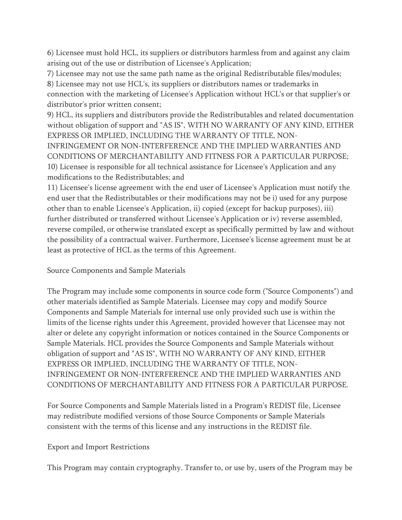6) Licensee must hold HCL, its suppliers or distributors harmless from and against any claim arising out of the use or distribution of Licensee's Application;

7) Licensee may not use the same path name as the original Redistributable files/modules;

8) Licensee may not use HCL's, its suppliers or distributors names or trademarks in

connection with the marketing of Licensee's Application without HCL's or that supplier's or distributor's prior written consent;

9) HCL, its suppliers and distributors provide the Redistributables and related documentation without obligation of support and "AS IS", WITH NO WARRANTY OF ANY KIND, EITHER EXPRESS OR IMPLIED, INCLUDING THE WARRANTY OF TITLE, NON-

INFRINGEMENT OR NON-INTERFERENCE AND THE IMPLIED WARRANTIES AND CONDITIONS OF MERCHANTABILITY AND FITNESS FOR A PARTICULAR PURPOSE; 10) Licensee is responsible for all technical assistance for Licensee's Application and any modifications to the Redistributables; and

11) Licensee's license agreement with the end user of Licensee's Application must notify the end user that the Redistributables or their modifications may not be i) used for any purpose other than to enable Licensee's Application, ii) copied (except for backup purposes), iii) further distributed or transferred without Licensee's Application or iv) reverse assembled, reverse compiled, or otherwise translated except as specifically permitted by law and without the possibility of a contractual waiver. Furthermore, Licensee's license agreement must be at least as protective of HCL as the terms of this Agreement.

Source Components and Sample Materials

The Program may include some components in source code form ("Source Components") and other materials identified as Sample Materials. Licensee may copy and modify Source Components and Sample Materials for internal use only provided such use is within the limits of the license rights under this Agreement, provided however that Licensee may not alter or delete any copyright information or notices contained in the Source Components or Sample Materials. HCL provides the Source Components and Sample Materials without obligation of support and "AS IS", WITH NO WARRANTY OF ANY KIND, EITHER EXPRESS OR IMPLIED, INCLUDING THE WARRANTY OF TITLE, NON-INFRINGEMENT OR NON-INTERFERENCE AND THE IMPLIED WARRANTIES AND CONDITIONS OF MERCHANTABILITY AND FITNESS FOR A PARTICULAR PURPOSE.

For Source Components and Sample Materials listed in a Program's REDIST file, Licensee may redistribute modified versions of those Source Components or Sample Materials consistent with the terms of this license and any instructions in the REDIST file.

# Export and Import Restrictions

This Program may contain cryptography. Transfer to, or use by, users of the Program may be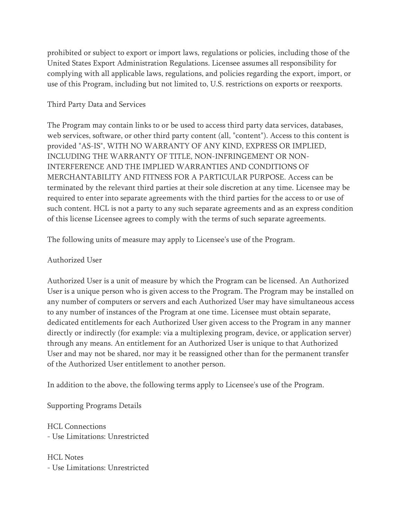prohibited or subject to export or import laws, regulations or policies, including those of the United States Export Administration Regulations. Licensee assumes all responsibility for complying with all applicable laws, regulations, and policies regarding the export, import, or use of this Program, including but not limited to, U.S. restrictions on exports or reexports.

### Third Party Data and Services

The Program may contain links to or be used to access third party data services, databases, web services, software, or other third party content (all, "content"). Access to this content is provided "AS-IS", WITH NO WARRANTY OF ANY KIND, EXPRESS OR IMPLIED, INCLUDING THE WARRANTY OF TITLE, NON-INFRINGEMENT OR NON-INTERFERENCE AND THE IMPLIED WARRANTIES AND CONDITIONS OF MERCHANTABILITY AND FITNESS FOR A PARTICULAR PURPOSE. Access can be terminated by the relevant third parties at their sole discretion at any time. Licensee may be required to enter into separate agreements with the third parties for the access to or use of such content. HCL is not a party to any such separate agreements and as an express condition of this license Licensee agrees to comply with the terms of such separate agreements.

The following units of measure may apply to Licensee's use of the Program.

# Authorized User

Authorized User is a unit of measure by which the Program can be licensed. An Authorized User is a unique person who is given access to the Program. The Program may be installed on any number of computers or servers and each Authorized User may have simultaneous access to any number of instances of the Program at one time. Licensee must obtain separate, dedicated entitlements for each Authorized User given access to the Program in any manner directly or indirectly (for example: via a multiplexing program, device, or application server) through any means. An entitlement for an Authorized User is unique to that Authorized User and may not be shared, nor may it be reassigned other than for the permanent transfer of the Authorized User entitlement to another person.

In addition to the above, the following terms apply to Licensee's use of the Program.

Supporting Programs Details

HCL Connections - Use Limitations: Unrestricted

HCL Notes - Use Limitations: Unrestricted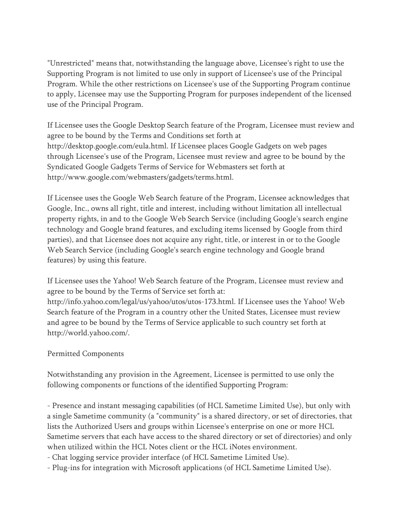"Unrestricted" means that, notwithstanding the language above, Licensee's right to use the Supporting Program is not limited to use only in support of Licensee's use of the Principal Program. While the other restrictions on Licensee's use of the Supporting Program continue to apply, Licensee may use the Supporting Program for purposes independent of the licensed use of the Principal Program.

If Licensee uses the Google Desktop Search feature of the Program, Licensee must review and agree to be bound by the Terms and Conditions set forth at http://desktop.google.com/eula.html. If Licensee places Google Gadgets on web pages through Licensee's use of the Program, Licensee must review and agree to be bound by the Syndicated Google Gadgets Terms of Service for Webmasters set forth at http://www.google.com/webmasters/gadgets/terms.html.

If Licensee uses the Google Web Search feature of the Program, Licensee acknowledges that Google, Inc., owns all right, title and interest, including without limitation all intellectual property rights, in and to the Google Web Search Service (including Google's search engine technology and Google brand features, and excluding items licensed by Google from third parties), and that Licensee does not acquire any right, title, or interest in or to the Google Web Search Service (including Google's search engine technology and Google brand features) by using this feature.

If Licensee uses the Yahoo! Web Search feature of the Program, Licensee must review and agree to be bound by the Terms of Service set forth at:

http://info.yahoo.com/legal/us/yahoo/utos/utos-173.html. If Licensee uses the Yahoo! Web Search feature of the Program in a country other the United States, Licensee must review and agree to be bound by the Terms of Service applicable to such country set forth at http://world.yahoo.com/.

# Permitted Components

Notwithstanding any provision in the Agreement, Licensee is permitted to use only the following components or functions of the identified Supporting Program:

- Presence and instant messaging capabilities (of HCL Sametime Limited Use), but only with a single Sametime community (a "community" is a shared directory, or set of directories, that lists the Authorized Users and groups within Licensee's enterprise on one or more HCL Sametime servers that each have access to the shared directory or set of directories) and only when utilized within the HCL Notes client or the HCL iNotes environment.

- Chat logging service provider interface (of HCL Sametime Limited Use).

- Plug-ins for integration with Microsoft applications (of HCL Sametime Limited Use).